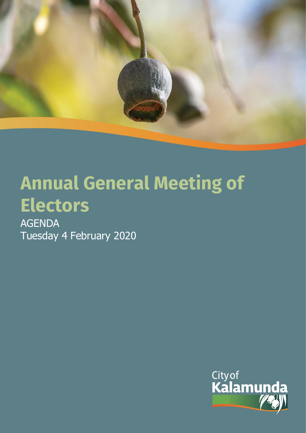

# **Annual General Meeting of Electors**

AGENDA Tuesday 4 February 2020

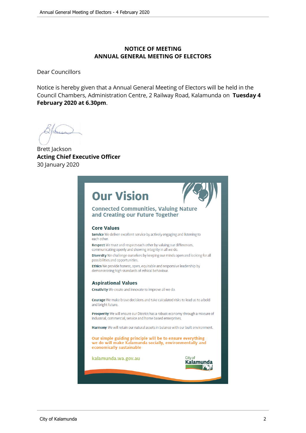#### **NOTICE OF MEETING ANNUAL GENERAL MEETING OF ELECTORS**

Dear Councillors

Notice is hereby given that a Annual General Meeting of Electors will be held in the Council Chambers, Administration Centre, 2 Railway Road, Kalamunda on **Tuesday 4 February 2020 at 6.30pm**.

Brett Jackson **Acting Chief Executive Officer** 30 January 2020

# **Our Vision**



Cityof Kalamunda

#### **Connected Communities, Valuing Nature** and Creating our Future Together

#### **Core Values**

Service We deliver excellent service by actively engaging and listening to each other.

Respect We trust and respect each other by valuing our differences, communicating openly and showing integrity in all we do.

Diversity We challenge ourselves by keeping our minds open and looking for all possibilities and opportunities.

Ethics We provide honest, open, equitable and responsive leadership by demonstrating high standards of ethical behaviour.

#### **Aspirational Values**

Creativity We create and innovate to improve all we do.

Courage We make brave decisions and take calculated risks to lead us to a bold and bright future.

Prosperity We will ensure our District has a robust economy through a mixture of industrial, commercial, service and home based enterprises.

Harmony We will retain our natural assets in balance with our built environment.

Our simple guiding principle will be to ensure everything we do will make Kalamunda socially, environmentally and economically sustainable

kalamunda.wa.gov.au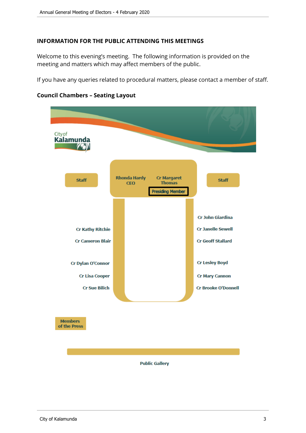#### **INFORMATION FOR THE PUBLIC ATTENDING THIS MEETINGS**

Welcome to this evening's meeting. The following information is provided on the meeting and matters which may affect members of the public.

If you have any queries related to procedural matters, please contact a member of staff.



#### **Council Chambers – Seating Layout**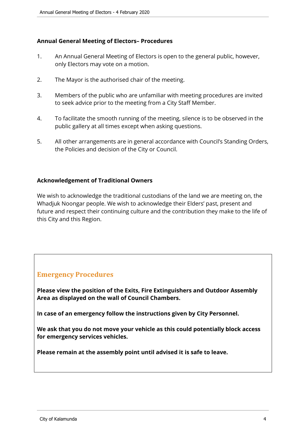#### **Annual General Meeting of Electors– Procedures**

- 1. An Annual General Meeting of Electors is open to the general public, however, only Electors may vote on a motion.
- 2. The Mayor is the authorised chair of the meeting.
- 3. Members of the public who are unfamiliar with meeting procedures are invited to seek advice prior to the meeting from a City Staff Member.
- 4. To facilitate the smooth running of the meeting, silence is to be observed in the public gallery at all times except when asking questions.
- 5. All other arrangements are in general accordance with Council's Standing Orders, the Policies and decision of the City or Council.

#### **Acknowledgement of Traditional Owners**

We wish to acknowledge the traditional custodians of the land we are meeting on, the Whadjuk Noongar people. We wish to acknowledge their Elders' past, present and future and respect their continuing culture and the contribution they make to the life of this City and this Region.

## **Emergency Procedures**

**Please view the position of the Exits, Fire Extinguishers and Outdoor Assembly Area as displayed on the wall of Council Chambers.**

**In case of an emergency follow the instructions given by City Personnel.**

**We ask that you do not move your vehicle as this could potentially block access for emergency services vehicles.**

**Please remain at the assembly point until advised it is safe to leave.**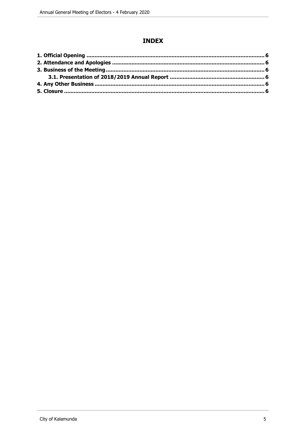#### **INDEX**